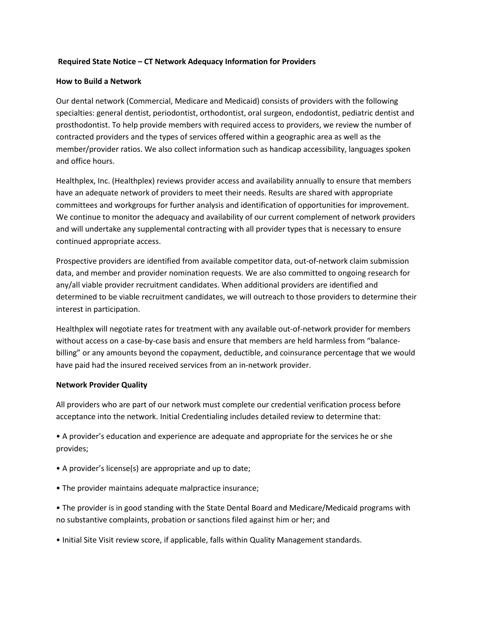# **Required State Notice – CT Network Adequacy Information for Providers**

### **How to Build a Network**

Our dental network (Commercial, Medicare and Medicaid) consists of providers with the following specialties: general dentist, periodontist, orthodontist, oral surgeon, endodontist, pediatric dentist and prosthodontist. To help provide members with required access to providers, we review the number of contracted providers and the types of services offered within a geographic area as well as the member/provider ratios. We also collect information such as handicap accessibility, languages spoken and office hours.

Healthplex, Inc. (Healthplex) reviews provider access and availability annually to ensure that members have an adequate network of providers to meet their needs. Results are shared with appropriate committees and workgroups for further analysis and identification of opportunities for improvement. We continue to monitor the adequacy and availability of our current complement of network providers and will undertake any supplemental contracting with all provider types that is necessary to ensure continued appropriate access.

Prospective providers are identified from available competitor data, out-of-network claim submission data, and member and provider nomination requests. We are also committed to ongoing research for any/all viable provider recruitment candidates. When additional providers are identified and determined to be viable recruitment candidates, we will outreach to those providers to determine their interest in participation.

Healthplex will negotiate rates for treatment with any available out-of-network provider for members without access on a case-by-case basis and ensure that members are held harmless from "balancebilling" or any amounts beyond the copayment, deductible, and coinsurance percentage that we would have paid had the insured received services from an in-network provider.

### **Network Provider Quality**

All providers who are part of our network must complete our credential verification process before acceptance into the network. Initial Credentialing includes detailed review to determine that:

• A provider's education and experience are adequate and appropriate for the services he or she provides;

- A provider's license(s) are appropriate and up to date;
- The provider maintains adequate malpractice insurance;
- The provider is in good standing with the State Dental Board and Medicare/Medicaid programs with no substantive complaints, probation or sanctions filed against him or her; and
- Initial Site Visit review score, if applicable, falls within Quality Management standards.